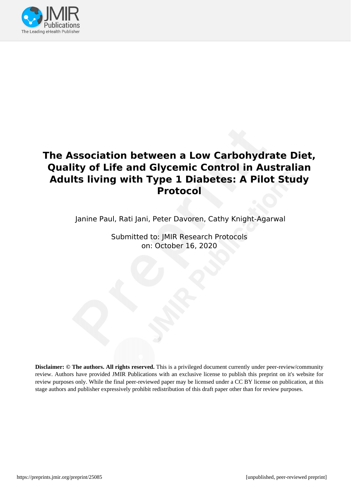

## **The Association between a Low Carbohydrate Diet, Quality of Life and Glycemic Control in Australian Adults living with Type 1 Diabetes: A Pilot Study Protocol**

Janine Paul, Rati Jani, Peter Davoren, Cathy Knight-Agarwal

Submitted to: JMIR Research Protocols on: October 16, 2020

**Disclaimer: © The authors. All rights reserved.** This is a privileged document currently under peer-review/community review. Authors have provided JMIR Publications with an exclusive license to publish this preprint on it's website for review purposes only. While the final peer-reviewed paper may be licensed under a CC BY license on publication, at this stage authors and publisher expressively prohibit redistribution of this draft paper other than for review purposes.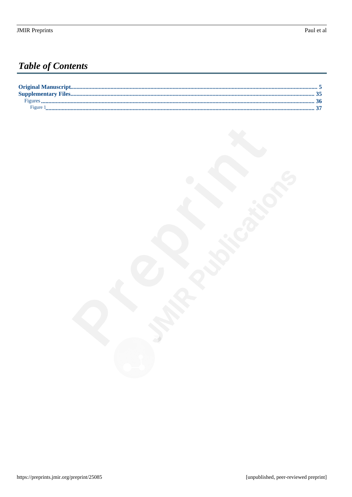## **Table of Contents**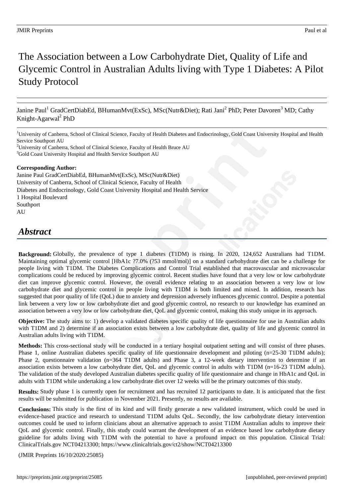## The Association between a Low Carbohydrate Diet, Quality of Life and Glycemic Control in Australian Adults living with Type 1 Diabetes: A Pilot Study Protocol

Janine Paul<sup>1</sup> GradCertDiabEd, BHumanMvt(ExSc), MSc(Nutr&Diet); Rati Jani<sup>2</sup> PhD; Peter Davoren<sup>3</sup> MD; Cathy Knight-Agarwal<sup>2</sup> PhD

<sup>1</sup>University of Canberra, School of Clinical Science, Faculty of Health Diabetes and Endocrinology, Gold Coast University Hospital and Health Service Southport AU

#### **Corresponding Author:**

Janine Paul GradCertDiabEd, BHumanMvt(ExSc), MSc(Nutr&Diet) University of Canberra, School of Clinical Science, Faculty of Health Diabetes and Endocrinology, Gold Coast University Hospital and Health Service 1 Hospital Boulevard Southport AU

### *Abstract*

**Background:** Globally, the prevalence of type 1 diabetes (T1DM) is rising. In 2020, 124,652 Australians had T1DM. Maintaining optimal glycemic control [HbA1c ?7.0% (?53 mmol/mol)] on a standard carbohydrate diet can be a challenge for people living with T1DM. The Diabetes Complications and Control Trial established that macrovascular and microvascular complications could be reduced by improving glycemic control. Recent studies have found that a very low or low carbohydrate diet can improve glycemic control. However, the overall evidence relating to an association between a very low or low carbohydrate diet and glycemic control in people living with T1DM is both limited and mixed. In addition, research has suggested that poor quality of life (QoL) due to anxiety and depression adversely influences glycemic control. Despite a potential link between a very low or low carbohydrate diet and good glycemic control, no research to our knowledge has examined an association between a very low or low carbohydrate diet, QoL and glycemic control, making this study unique in its approach.

**Objective:** The study aims to: 1) develop a validated diabetes specific quality of life questionnaire for use in Australian adults with T1DM and 2) determine if an association exists between a low carbohydrate diet, quality of life and glycemic control in Australian adults living with T1DM.

**Methods:** This cross-sectional study will be conducted in a tertiary hospital outpatient setting and will consist of three phases. Phase 1, online Australian diabetes specific quality of life questionnaire development and piloting (n=25-30 T1DM adults); Phase 2, questionnaire validation (n=364 T1DM adults) and Phase 3, a 12-week dietary intervention to determine if an association exists between a low carbohydrate diet, QoL and glycemic control in adults with T1DM (n=16-23 T1DM adults). The validation of the study developed Australian diabetes specific quality of life questionnaire and change in HbA1c and QoL in adults with T1DM while undertaking a low carbohydrate diet over 12 weeks will be the primary outcomes of this study.

**Results:** Study phase 1 is currently open for recruitment and has recruited 12 participants to date. It is anticipated that the first results will be submitted for publication in November 2021. Presently, no results are available.

**Conclusions:** This study is the first of its kind and will firstly generate a new validated instrument, which could be used in evidence-based practice and research to understand T1DM adults QoL. Secondly, the low carbohydrate dietary intervention outcomes could be used to inform clinicians about an alternative approach to assist T1DM Australian adults to improve their QoL and glycemic control. Finally, this study could warrant the development of an evidence based low carbohydrate dietary guideline for adults living with T1DM with the potential to have a profound impact on this population. Clinical Trial: ClinicalTrials.gov NCT04213300; https://www.clinicaltrials.gov/ct2/show/NCT04213300

(JMIR Preprints 16/10/2020:25085)

<sup>&</sup>lt;sup>2</sup>University of Canberra, School of Clinical Science, Faculty of Health Bruce AU <sup>3</sup>Gold Coast University Hospital and Health Service Southport AU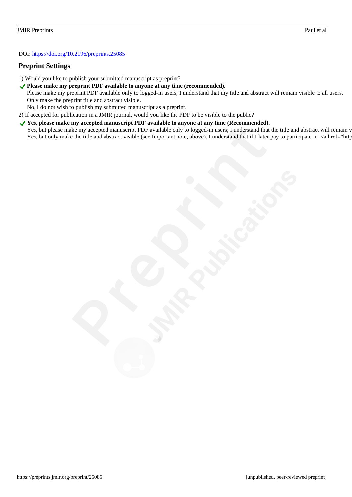#### DOI: https://doi.org/10.2196/preprints.25085

#### **Preprint Settings**

- 1) Would you like to publish your submitted manuscript as preprint?
- ◆ Please make my preprint PDF available to anyone at any time (recommended).
	- Please make my preprint PDF available only to logged-in users; I understand that my title and abstract will remain visible to all users. Only make the preprint title and abstract visible.
	- No, I do not wish to publish my submitted manuscript as a preprint.
- 2) If accepted for publication in a JMIR journal, would you like the PDF to be visible to the public?
- ◆ Yes, please make my accepted manuscript PDF available to anyone at any time (Recommended). Yes, but please make my accepted manuscript PDF available only to logged-in users; I understand that the title and abstract will remain v Yes, but only make the title and abstract visible (see Important note, above). I understand that if I later pay to participate in <a href="http://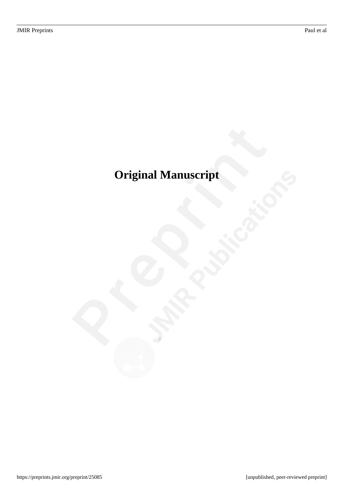# <span id="page-4-0"></span>**Original Manuscript**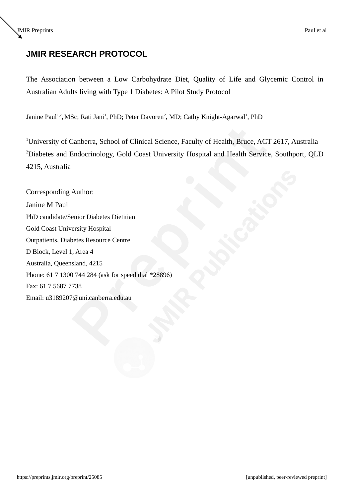### **JMIR RESEARCH PROTOCOL**

The Association between a Low Carbohydrate Diet, Quality of Life and Glycemic Control in Australian Adults living with Type 1 Diabetes: A Pilot Study Protocol

Janine Paul<sup>1,2</sup>, MSc; Rati Jani<sup>1</sup>, PhD; Peter Davoren<sup>2</sup>, MD; Cathy Knight-Agarwal<sup>1</sup>, PhD

<sup>1</sup>University of Canberra, School of Clinical Science, Faculty of Health, Bruce, ACT 2617, Australia <sup>2</sup>Diabetes and Endocrinology, Gold Coast University Hospital and Health Service, Southport, QLD 4215, Australia

Corresponding Author: Janine M Paul PhD candidate/Senior Diabetes Dietitian Gold Coast University Hospital Outpatients, Diabetes Resource Centre D Block, Level 1, Area 4 Australia, Queensland, 4215 Phone: 61 7 1300 744 284 (ask for speed dial \*28896) Fax: 61 7 5687 7738 Email: u3189207@uni.canberra.edu.au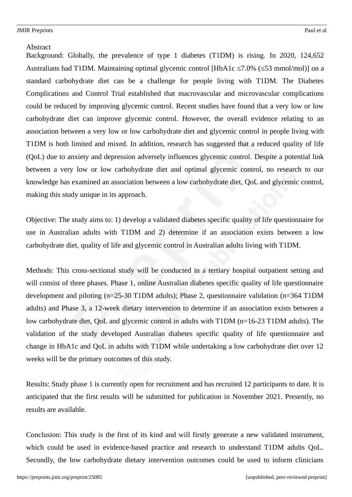#### **Abstract**

Background: Globally, the prevalence of type 1 diabetes (T1DM) is rising. In 2020, 124,652 Australians had T1DM. Maintaining optimal glycemic control [HbA1c  $\leq$ 7.0% ( $\leq$ 53 mmol/mol)] on a standard carbohydrate diet can be a challenge for people living with T1DM. The Diabetes Complications and Control Trial established that macrovascular and microvascular complications could be reduced by improving glycemic control. Recent studies have found that a very low or low carbohydrate diet can improve glycemic control. However, the overall evidence relating to an association between a very low or low carbohydrate diet and glycemic control in people living with T1DM is both limited and mixed. In addition, research has suggested that a reduced quality of life (QoL) due to anxiety and depression adversely influences glycemic control. Despite a potential link between a very low or low carbohydrate diet and optimal glycemic control, no research to our knowledge has examined an association between a low carbohydrate diet, QoL and glycemic control, making this study unique in its approach.

Objective: The study aims to: 1) develop a validated diabetes specific quality of life questionnaire for use in Australian adults with T1DM and 2) determine if an association exists between a low carbohydrate diet, quality of life and glycemic control in Australian adults living with T1DM.

Methods: This cross-sectional study will be conducted in a tertiary hospital outpatient setting and will consist of three phases. Phase 1, online Australian diabetes specific quality of life questionnaire development and piloting (n=25-30 T1DM adults); Phase 2, questionnaire validation (n=364 T1DM adults) and Phase 3, a 12-week dietary intervention to determine if an association exists between a low carbohydrate diet, QoL and glycemic control in adults with T1DM (n=16-23 T1DM adults). The validation of the study developed Australian diabetes specific quality of life questionnaire and change in HbA1c and QoL in adults with T1DM while undertaking a low carbohydrate diet over 12 weeks will be the primary outcomes of this study.

Results: Study phase 1 is currently open for recruitment and has recruited 12 participants to date. It is anticipated that the first results will be submitted for publication in November 2021. Presently, no results are available.

Conclusion: This study is the first of its kind and will firstly generate a new validated instrument, which could be used in evidence-based practice and research to understand T1DM adults QoL. Secondly, the low carbohydrate dietary intervention outcomes could be used to inform clinicians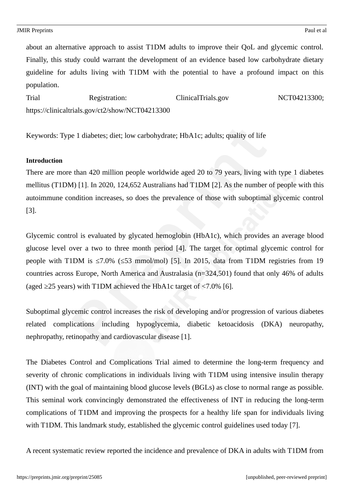about an alternative approach to assist T1DM adults to improve their QoL and glycemic control. Finally, this study could warrant the development of an evidence based low carbohydrate dietary guideline for adults living with T1DM with the potential to have a profound impact on this population.

Trial Registration: ClinicalTrials.gov NCT04213300; https://clinicaltrials.gov/ct2/show/NCT04213300

Keywords: Type 1 diabetes; diet; low carbohydrate; HbA1c; adults; quality of life

#### **Introduction**

There are more than 420 million people worldwide aged 20 to 79 years, living with type 1 diabetes mellitus (T1DM) [1]. In 2020, 124,652 Australians had T1DM [2]. As the number of people with this autoimmune condition increases, so does the prevalence of those with suboptimal glycemic control [3].

Glycemic control is evaluated by glycated hemoglobin (HbA1c), which provides an average blood glucose level over a two to three month period [4]. The target for optimal glycemic control for people with T1DM is ≤7.0% (≤53 mmol/mol) [5]. In 2015, data from T1DM registries from 19 countries across Europe, North America and Australasia (n=324,501) found that only 46% of adults (aged ≥25 years) with T1DM achieved the HbA1c target of <7.0% [6].

Suboptimal glycemic control increases the risk of developing and/or progression of various diabetes related complications including hypoglycemia, diabetic ketoacidosis (DKA) neuropathy, nephropathy, retinopathy and cardiovascular disease [1].

The Diabetes Control and Complications Trial aimed to determine the long-term frequency and severity of chronic complications in individuals living with T1DM using intensive insulin therapy (INT) with the goal of maintaining blood glucose levels (BGLs) as close to normal range as possible. This seminal work convincingly demonstrated the effectiveness of INT in reducing the long-term complications of T1DM and improving the prospects for a healthy life span for individuals living with T1DM. This landmark study, established the glycemic control guidelines used today [7].

A recent systematic review reported the incidence and prevalence of DKA in adults with T1DM from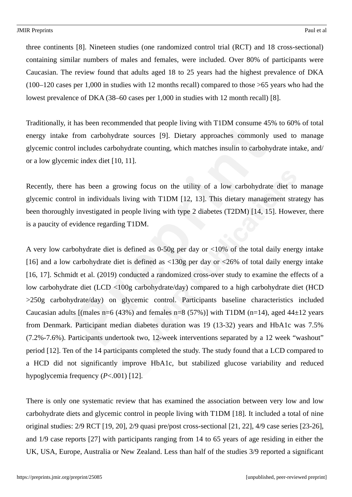three continents [8]. Nineteen studies (one randomized control trial (RCT) and 18 cross-sectional) containing similar numbers of males and females, were included. Over 80% of participants were Caucasian. The review found that adults aged 18 to 25 years had the highest prevalence of DKA (100–120 cases per 1,000 in studies with 12 months recall) compared to those >65 years who had the lowest prevalence of DKA (38–60 cases per 1,000 in studies with 12 month recall) [8].

Traditionally, it has been recommended that people living with T1DM consume 45% to 60% of total energy intake from carbohydrate sources [9]. Dietary approaches commonly used to manage glycemic control includes carbohydrate counting, which matches insulin to carbohydrate intake, and/ or a low glycemic index diet [10, 11].

Recently, there has been a growing focus on the utility of a low carbohydrate diet to manage glycemic control in individuals living with T1DM [12, 13]. This dietary management strategy has been thoroughly investigated in people living with type 2 diabetes (T2DM) [14, 15]. However, there is a paucity of evidence regarding T1DM.

A very low carbohydrate diet is defined as 0-50g per day or <10% of the total daily energy intake [16] and a low carbohydrate diet is defined as <130g per day or <26% of total daily energy intake [16, 17]. Schmidt et al. (2019) conducted a randomized cross-over study to examine the effects of a low carbohydrate diet (LCD <100g carbohydrate/day) compared to a high carbohydrate diet (HCD >250g carbohydrate/day) on glycemic control. Participants baseline characteristics included Caucasian adults [(males n=6 (43%) and females n=8 (57%)] with T1DM (n=14), aged 44 $\pm$ 12 years from Denmark. Participant median diabetes duration was 19 (13-32) years and HbA1c was 7.5% (7.2%-7.6%). Participants undertook two, 12-week interventions separated by a 12 week "washout" period [12]. Ten of the 14 participants completed the study. The study found that a LCD compared to a HCD did not significantly improve HbA1c, but stabilized glucose variability and reduced hypoglycemia frequency (*P*<.001) [12].

There is only one systematic review that has examined the association between very low and low carbohydrate diets and glycemic control in people living with T1DM [18]. It included a total of nine original studies: 2/9 RCT [19, 20], 2/9 quasi pre/post cross-sectional [21, 22], 4/9 case series [23-26], and 1/9 case reports [27] with participants ranging from 14 to 65 years of age residing in either the UK, USA, Europe, Australia or New Zealand. Less than half of the studies 3/9 reported a significant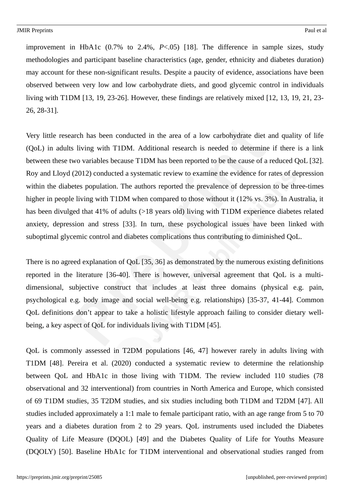improvement in HbA1c (0.7% to 2.4%, *P*<.05) [18]. The difference in sample sizes, study methodologies and participant baseline characteristics (age, gender, ethnicity and diabetes duration) may account for these non-significant results. Despite a paucity of evidence, associations have been observed between very low and low carbohydrate diets, and good glycemic control in individuals living with T1DM [13, 19, 23-26]. However, these findings are relatively mixed [12, 13, 19, 21, 23- 26, 28-31].

Very little research has been conducted in the area of a low carbohydrate diet and quality of life (QoL) in adults living with T1DM. Additional research is needed to determine if there is a link between these two variables because T1DM has been reported to be the cause of a reduced QoL [32]. Roy and Lloyd (2012) conducted a systematic review to examine the evidence for rates of depression within the diabetes population. The authors reported the prevalence of depression to be three-times higher in people living with T1DM when compared to those without it (12% vs. 3%). In Australia, it has been divulged that 41% of adults (>18 years old) living with T1DM experience diabetes related anxiety, depression and stress [33]. In turn, these psychological issues have been linked with suboptimal glycemic control and diabetes complications thus contributing to diminished QoL.

There is no agreed explanation of QoL [35, 36] as demonstrated by the numerous existing definitions reported in the literature [36-40]. There is however, universal agreement that QoL is a multidimensional, subjective construct that includes at least three domains (physical e.g. pain, psychological e.g. body image and social well-being e.g. relationships) [35-37, 41-44]. Common QoL definitions don't appear to take a holistic lifestyle approach failing to consider dietary wellbeing, a key aspect of QoL for individuals living with T1DM [45].

QoL is commonly assessed in T2DM populations [46, 47] however rarely in adults living with T1DM [48]. Pereira et al. (2020) conducted a systematic review to determine the relationship between QoL and HbA1c in those living with T1DM. The review included 110 studies (78 observational and 32 interventional) from countries in North America and Europe, which consisted of 69 T1DM studies, 35 T2DM studies, and six studies including both T1DM and T2DM [47]. All studies included approximately a 1:1 male to female participant ratio, with an age range from 5 to 70 years and a diabetes duration from 2 to 29 years. QoL instruments used included the Diabetes Quality of Life Measure (DQOL) [49] and the Diabetes Quality of Life for Youths Measure (DQOLY) [50]. Baseline HbA1c for T1DM interventional and observational studies ranged from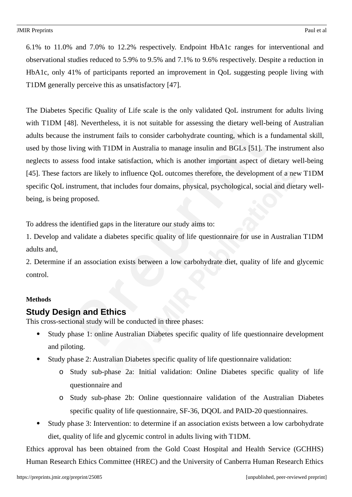6.1% to 11.0% and 7.0% to 12.2% respectively. Endpoint HbA1c ranges for interventional and observational studies reduced to 5.9% to 9.5% and 7.1% to 9.6% respectively. Despite a reduction in HbA1c, only 41% of participants reported an improvement in QoL suggesting people living with T1DM generally perceive this as unsatisfactory [47].

The Diabetes Specific Quality of Life scale is the only validated QoL instrument for adults living with T1DM [48]. Nevertheless, it is not suitable for assessing the dietary well-being of Australian adults because the instrument fails to consider carbohydrate counting, which is a fundamental skill, used by those living with T1DM in Australia to manage insulin and BGLs [51]. The instrument also neglects to assess food intake satisfaction, which is another important aspect of dietary well-being [45]. These factors are likely to influence QoL outcomes therefore, the development of a new T1DM specific QoL instrument, that includes four domains, physical, psychological, social and dietary wellbeing, is being proposed.

To address the identified gaps in the literature our study aims to:

1. Develop and validate a diabetes specific quality of life questionnaire for use in Australian T1DM adults and,

2. Determine if an association exists between a low carbohydrate diet, quality of life and glycemic control.

#### **Methods**

### **Study Design and Ethics**

This cross-sectional study will be conducted in three phases:

- Study phase 1: online Australian Diabetes specific quality of life questionnaire development and piloting.
- Study phase 2: Australian Diabetes specific quality of life questionnaire validation:
	- o Study sub-phase 2a: Initial validation: Online Diabetes specific quality of life questionnaire and
	- o Study sub-phase 2b: Online questionnaire validation of the Australian Diabetes specific quality of life questionnaire, SF-36, DQOL and PAID-20 questionnaires.
- Study phase 3: Intervention: to determine if an association exists between a low carbohydrate diet, quality of life and glycemic control in adults living with T1DM.

Ethics approval has been obtained from the Gold Coast Hospital and Health Service (GCHHS) Human Research Ethics Committee (HREC) and the University of Canberra Human Research Ethics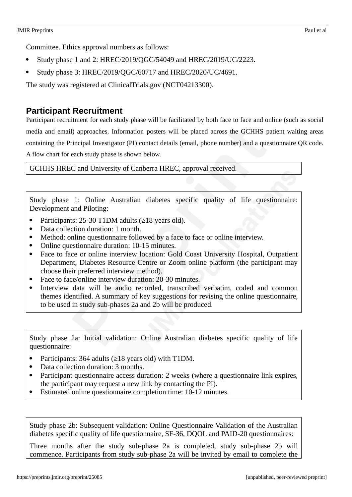Committee. Ethics approval numbers as follows:

- Study phase 1 and 2: HREC/2019/QGC/54049 and HREC/2019/UC/2223.
- Study phase 3: HREC/2019/QGC/60717 and HREC/2020/UC/4691.

The study was registered at ClinicalTrials.gov (NCT04213300).

### **Participant Recruitment**

Participant recruitment for each study phase will be facilitated by both face to face and online (such as social media and email) approaches. Information posters will be placed across the GCHHS patient waiting areas containing the Principal Investigator (PI) contact details (email, phone number) and a questionnaire QR code. A flow chart for each study phase is shown below.

GCHHS HREC and University of Canberra HREC, approval received.

Study phase 1: Online Australian diabetes specific quality of life questionnaire: Development and Piloting:

- Participants: 25-30 T1DM adults (≥18 years old).
- Data collection duration: 1 month.
- Method: online questionnaire followed by a face to face or online interview.
- Online questionnaire duration: 10-15 minutes.
- Face to face or online interview location: Gold Coast University Hospital, Outpatient Department, Diabetes Resource Centre or Zoom online platform (the participant may choose their preferred interview method).
- Face to face/online interview duration: 20-30 minutes.
- Interview data will be audio recorded, transcribed verbatim, coded and common themes identified. A summary of key suggestions for revising the online questionnaire, to be used in study sub-phases 2a and 2b will be produced.

Study phase 2a: Initial validation: Online Australian diabetes specific quality of life questionnaire:

- Participants: 364 adults (≥18 years old) with T1DM.
- Data collection duration: 3 months.
- Participant questionnaire access duration: 2 weeks (where a questionnaire link expires, the participant may request a new link by contacting the PI).
- Estimated online questionnaire completion time: 10-12 minutes.

Study phase 2b: Subsequent validation: Online Questionnaire Validation of the Australian diabetes specific quality of life questionnaire, SF-36, DQOL and PAID-20 questionnaires:

Three months after the study sub-phase 2a is completed, study sub-phase 2b will commence. Participants from study sub-phase 2a will be invited by email to complete the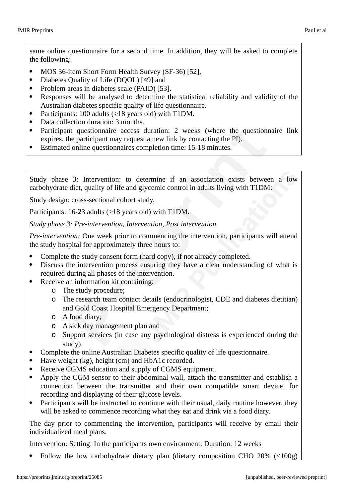- MOS 36-item Short Form Health Survey (SF-36) [52],
- Diabetes Quality of Life (DQOL) [49] and
- Problem areas in diabetes scale (PAID) [53].
- Responses will be analysed to determine the statistical reliability and validity of the Australian diabetes specific quality of life questionnaire.
- Participants: 100 adults (≥18 years old) with T1DM.
- Data collection duration: 3 months.
- Participant questionnaire access duration: 2 weeks (where the questionnaire link expires, the participant may request a new link by contacting the PI).
- Estimated online questionnaires completion time: 15-18 minutes.

Study phase 3: Intervention: to determine if an association exists between a low carbohydrate diet, quality of life and glycemic control in adults living with T1DM:

Study design: cross-sectional cohort study.

Participants: 16-23 adults (≥18 years old) with T1DM.

*Study phase 3: Pre-intervention, Intervention, Post intervention*

*Pre-intervention:* One week prior to commencing the intervention, participants will attend the study hospital for approximately three hours to:

- Complete the study consent form (hard copy), if not already completed.
- Discuss the intervention process ensuring they have a clear understanding of what is required during all phases of the intervention.
- Receive an information kit containing:
	- o The study procedure;
	- o The research team contact details (endocrinologist, CDE and diabetes dietitian) and Gold Coast Hospital Emergency Department;
	- o A food diary;
	- o A sick day management plan and
	- o Support services (in case any psychological distress is experienced during the study).
- Complete the online Australian Diabetes specific quality of life questionnaire.
- Have weight (kg), height (cm) and HbA1c recorded.
- Receive CGMS education and supply of CGMS equipment.
- Apply the CGM sensor to their abdominal wall, attach the transmitter and establish a connection between the transmitter and their own compatible smart device, for recording and displaying of their glucose levels.
- Participants will be instructed to continue with their usual, daily routine however, they will be asked to commence recording what they eat and drink via a food diary.

The day prior to commencing the intervention, participants will receive by email their individualized meal plans.

Intervention: Setting: In the participants own environment: Duration: 12 weeks

Follow the low carbohydrate dietary plan (dietary composition CHO 20% (<100g)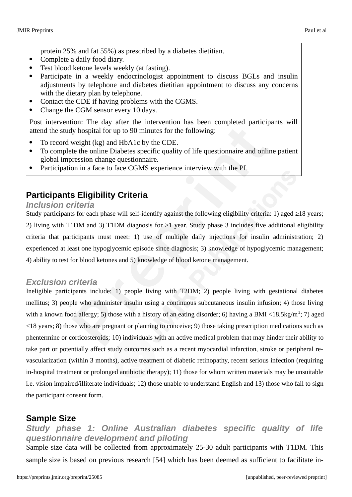- protein 25% and fat 55%) as prescribed by a diabetes dietitian.
- Complete a daily food diary.
- Test blood ketone levels weekly (at fasting).
- Participate in a weekly endocrinologist appointment to discuss BGLs and insulin adjustments by telephone and diabetes dietitian appointment to discuss any concerns with the dietary plan by telephone.
- Contact the CDE if having problems with the CGMS.
- Change the CGM sensor every 10 days.

Post intervention: The day after the intervention has been completed participants will attend the study hospital for up to 90 minutes for the following:

- To record weight (kg) and HbA1c by the CDE.
- To complete the online Diabetes specific quality of life questionnaire and online patient global impression change questionnaire.
- Participation in a face to face CGMS experience interview with the PI.

### **Participants Eligibility Criteria**

#### *Inclusion criteria*

Study participants for each phase will self-identify against the following eligibility criteria: 1) aged ≥18 years; 2) living with T1DM and 3) T1DM diagnosis for ≥1 year. Study phase 3 includes five additional eligibility criteria that participants must meet: 1) use of multiple daily injections for insulin administration; 2) experienced at least one hypoglycemic episode since diagnosis; 3) knowledge of hypoglycemic management; 4) ability to test for blood ketones and 5) knowledge of blood ketone management.

#### *Exclusion criteria*

Ineligible participants include: 1) people living with T2DM; 2) people living with gestational diabetes mellitus; 3) people who administer insulin using a continuous subcutaneous insulin infusion; 4) those living with a known food allergy; 5) those with a history of an eating disorder; 6) having a BMI <18.5kg/m<sup>2</sup>; 7) aged <18 years; 8) those who are pregnant or planning to conceive; 9) those taking prescription medications such as phentermine or corticosteroids; 10) individuals with an active medical problem that may hinder their ability to take part or potentially affect study outcomes such as a recent myocardial infarction, stroke or peripheral revascularization (within 3 months), active treatment of diabetic retinopathy, recent serious infection (requiring in-hospital treatment or prolonged antibiotic therapy); 11) those for whom written materials may be unsuitable i.e. vision impaired/illiterate individuals; 12) those unable to understand English and 13) those who fail to sign the participant consent form.

### **Sample Size**

### *Study phase 1: Online Australian diabetes specific quality of life questionnaire development and piloting*

Sample size data will be collected from approximately 25-30 adult participants with T1DM. This sample size is based on previous research [54] which has been deemed as sufficient to facilitate in-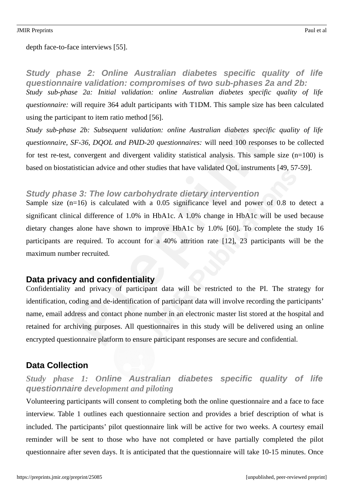#### depth face-to-face interviews [55].

*Study phase 2: Online Australian diabetes specific quality of life questionnaire validation: compromises of two sub-phases 2a and 2b: Study sub-phase 2a: Initial validation: online Australian diabetes specific quality of life questionnaire:* will require 364 adult participants with T1DM. This sample size has been calculated using the participant to item ratio method [56].

*Study sub-phase 2b: Subsequent validation: online Australian diabetes specific quality of life questionnaire, SF-36, DQOL and PAID-20 questionnaires:* will need 100 responses to be collected for test re-test, convergent and divergent validity statistical analysis. This sample size (n=100) is based on biostatistician advice and other studies that have validated QoL instruments [49, 57-59].

### *Study phase 3: The low carbohydrate dietary intervention*

Sample size (n=16) is calculated with a 0.05 significance level and power of 0.8 to detect a significant clinical difference of 1.0% in HbA1c. A 1.0% change in HbA1c will be used because dietary changes alone have shown to improve HbA1c by 1.0% [60]. To complete the study 16 participants are required. To account for a 40% attrition rate [12], 23 participants will be the maximum number recruited.

### **Data privacy and confidentiality**

Confidentiality and privacy of participant data will be restricted to the PI. The strategy for identification, coding and de-identification of participant data will involve recording the participants' name, email address and contact phone number in an electronic master list stored at the hospital and retained for archiving purposes. All questionnaires in this study will be delivered using an online encrypted questionnaire platform to ensure participant responses are secure and confidential.

### **Data Collection**

### *Study phase 1: Online Australian diabetes specific quality of life questionnaire development and piloting*

Volunteering participants will consent to completing both the online questionnaire and a face to face interview. Table 1 outlines each questionnaire section and provides a brief description of what is included. The participants' pilot questionnaire link will be active for two weeks. A courtesy email reminder will be sent to those who have not completed or have partially completed the pilot questionnaire after seven days. It is anticipated that the questionnaire will take 10-15 minutes. Once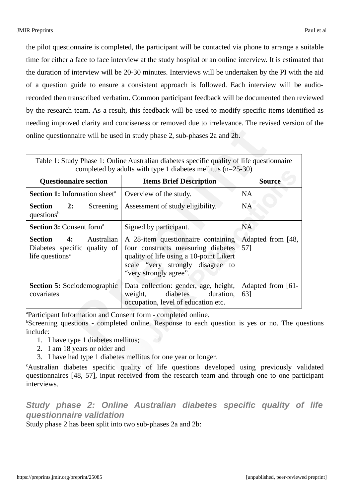the pilot questionnaire is completed, the participant will be contacted via phone to arrange a suitable time for either a face to face interview at the study hospital or an online interview. It is estimated that the duration of interview will be 20-30 minutes. Interviews will be undertaken by the PI with the aid of a question guide to ensure a consistent approach is followed. Each interview will be audiorecorded then transcribed verbatim. Common participant feedback will be documented then reviewed by the research team. As a result, this feedback will be used to modify specific items identified as needing improved clarity and conciseness or removed due to irrelevance. The revised version of the online questionnaire will be used in study phase 2, sub-phases 2a and 2b.

| Table 1: Study Phase 1: Online Australian diabetes specific quality of life questionnaire<br>completed by adults with type 1 diabetes mellitus ( $n=25-30$ ) |                                                                                                                                                                                   |                          |  |
|--------------------------------------------------------------------------------------------------------------------------------------------------------------|-----------------------------------------------------------------------------------------------------------------------------------------------------------------------------------|--------------------------|--|
| <b>Questionnaire section</b>                                                                                                                                 | <b>Items Brief Description</b>                                                                                                                                                    | <b>Source</b>            |  |
| <b>Section 1:</b> Information sheet <sup>a</sup>                                                                                                             | Overview of the study.                                                                                                                                                            |                          |  |
| 2:<br><b>Section</b><br>Screening<br>questions <sup>b</sup>                                                                                                  | Assessment of study eligibility.                                                                                                                                                  | <b>NA</b>                |  |
| <b>Section 3: Consent form<sup>a</sup></b>                                                                                                                   | Signed by participant.                                                                                                                                                            | <b>NA</b>                |  |
| <b>Section 4:</b> Australian<br>Diabetes specific quality of<br>life questions <sup>c</sup>                                                                  | A 28-item questionnaire containing<br>four constructs measuring diabetes<br>quality of life using a 10-point Likert<br>scale "very strongly disagree to<br>"very strongly agree". | Adapted from [48,<br>57] |  |
| <b>Section 5: Sociodemographic</b><br>covariates                                                                                                             | Data collection: gender, age, height,<br>weight, diabetes<br>duration,<br>occupation, level of education etc.                                                                     | Adapted from [61-<br>63] |  |

<sup>a</sup>Participant Information and Consent form - completed online.

<sup>b</sup>Screening questions - completed online. Response to each question is yes or no. The questions include:

- 1. I have type 1 diabetes mellitus;
- 2. I am 18 years or older and
- 3. I have had type 1 diabetes mellitus for one year or longer.

<sup>c</sup>Australian diabetes specific quality of life questions developed using previously validated questionnaires [48, 57], input received from the research team and through one to one participant interviews.

*Study phase 2: Online Australian diabetes specific quality of life questionnaire validation*

Study phase 2 has been split into two sub-phases 2a and 2b: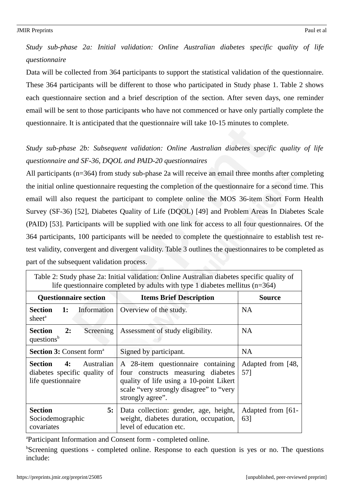*Study sub-phase 2a: Initial validation: Online Australian diabetes specific quality of life questionnaire*

Data will be collected from 364 participants to support the statistical validation of the questionnaire. These 364 participants will be different to those who participated in Study phase 1. Table 2 shows each questionnaire section and a brief description of the section. After seven days, one reminder email will be sent to those participants who have not commenced or have only partially complete the questionnaire. It is anticipated that the questionnaire will take 10-15 minutes to complete.

### *Study sub-phase 2b: Subsequent validation: Online Australian diabetes specific quality of life questionnaire and SF-36, DQOL and PAID-20 questionnaires*

All participants (n=364) from study sub-phase 2a will receive an email three months after completing the initial online questionnaire requesting the completion of the questionnaire for a second time. This email will also request the participant to complete online the MOS 36-item Short Form Health Survey (SF-36) [52], Diabetes Quality of Life (DQOL) [49] and Problem Areas In Diabetes Scale (PAID) [53]. Participants will be supplied with one link for access to all four questionnaires. Of the 364 participants, 100 participants will be needed to complete the questionnaire to establish test retest validity, convergent and divergent validity. Table 3 outlines the questionnaires to be completed as part of the subsequent validation process.

| life questionnaire completed by adults with type 1 diabetes mellitus $(n=364)$    |                                                                                                                                                                                    |                          |  |
|-----------------------------------------------------------------------------------|------------------------------------------------------------------------------------------------------------------------------------------------------------------------------------|--------------------------|--|
| <b>Questionnaire section</b>                                                      | <b>Items Brief Description</b>                                                                                                                                                     | <b>Source</b>            |  |
| Information<br><b>Section</b><br>1:<br>sheet <sup>a</sup>                         | Overview of the study.                                                                                                                                                             | <b>NA</b>                |  |
| <b>Section</b><br>2:<br>Screening<br>questions <sup>b</sup>                       | Assessment of study eligibility.                                                                                                                                                   | <b>NA</b>                |  |
| <b>Section 3: Consent form<sup>a</sup></b>                                        | Signed by participant.                                                                                                                                                             | <b>NA</b>                |  |
| Section<br>Australian<br>4:<br>diabetes specific quality of<br>life questionnaire | A 28-item questionnaire containing<br>four constructs measuring diabetes<br>quality of life using a 10-point Likert<br>scale "very strongly disagree" to "very<br>strongly agree". | Adapted from [48,<br>57] |  |
| <b>Section</b><br>5:<br>Sociodemographic<br>covariates                            | Data collection: gender, age, height,<br>weight, diabetes duration, occupation,<br>level of education etc.                                                                         | Adapted from [61-<br>63] |  |

Table 2: Study phase 2a: Initial validation: Online Australian diabetes specific quality of

<sup>a</sup>Participant Information and Consent form - completed online.

 $b$ Screening questions - completed online. Response to each question is yes or no. The questions include: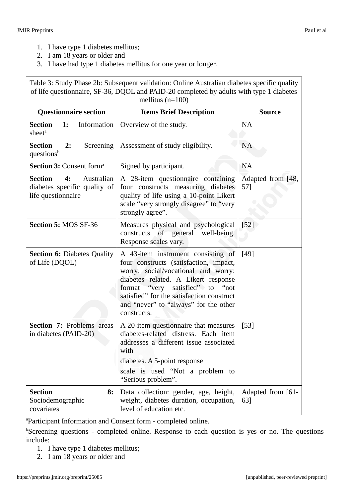- 1. I have type 1 diabetes mellitus;
- 2. I am 18 years or older and
- 3. I have had type 1 diabetes mellitus for one year or longer.

Table 3: Study Phase 2b: Subsequent validation: Online Australian diabetes specific quality of life questionnaire, SF-36, DQOL and PAID-20 completed by adults with type 1 diabetes mellitus (n=100)

| <b>Questionnaire section</b>                                                             | <b>Items Brief Description</b>                                                                                                                                                                                                                                                                        | <b>Source</b>            |
|------------------------------------------------------------------------------------------|-------------------------------------------------------------------------------------------------------------------------------------------------------------------------------------------------------------------------------------------------------------------------------------------------------|--------------------------|
| <b>Section</b><br>1:<br>Information<br>sheet <sup>a</sup>                                | Overview of the study.                                                                                                                                                                                                                                                                                | <b>NA</b>                |
| <b>Section</b><br>2:<br>Screening<br>questions <sup>b</sup>                              | Assessment of study eligibility.                                                                                                                                                                                                                                                                      | NA                       |
| Section 3: Consent form <sup>a</sup>                                                     | Signed by participant.                                                                                                                                                                                                                                                                                | <b>NA</b>                |
| <b>Section</b><br>Australian<br>4:<br>diabetes specific quality of<br>life questionnaire | A 28-item questionnaire containing<br>four constructs measuring diabetes<br>quality of life using a 10-point Likert<br>scale "very strongly disagree" to "very<br>strongly agree".                                                                                                                    | Adapted from [48,<br>57] |
| Section 5: MOS SF-36                                                                     | Measures physical and psychological<br>constructs of general<br>well-being.<br>Response scales vary.                                                                                                                                                                                                  | $[52]$                   |
| <b>Section 6: Diabetes Quality</b><br>of Life (DQOL)                                     | A 43-item instrument consisting of<br>four constructs (satisfaction, impact,<br>worry: social/vocational and worry:<br>diabetes related. A Likert response<br>format "very satisfied" to<br>"not<br>satisfied" for the satisfaction construct<br>and "never" to "always" for the other<br>constructs. | [49]                     |
| <b>Section 7: Problems areas</b><br>in diabetes (PAID-20)                                | A 20-item questionnaire that measures<br>diabetes-related distress. Each item<br>addresses a different issue associated<br>with<br>diabetes. A 5-point response<br>scale is used "Not a problem to<br>"Serious problem".                                                                              | $[53]$                   |
| <b>Section</b><br>8:<br>Sociodemographic<br>covariates                                   | Data collection: gender, age, height,<br>weight, diabetes duration, occupation,<br>level of education etc.                                                                                                                                                                                            | Adapted from [61-<br>63] |

<sup>a</sup>Participant Information and Consent form - completed online.

 $b$ Screening questions - completed online. Response to each question is yes or no. The questions include:

- 1. I have type 1 diabetes mellitus;
- 2. I am 18 years or older and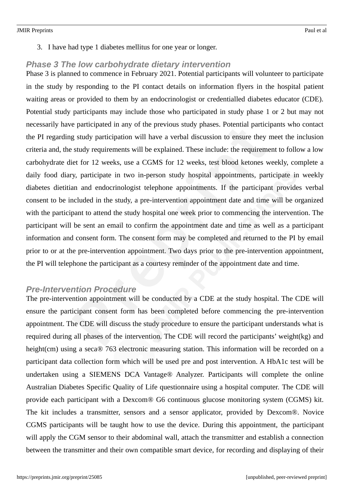3. I have had type 1 diabetes mellitus for one year or longer.

### *Phase 3 The low carbohydrate dietary intervention*

Phase 3 is planned to commence in February 2021. Potential participants will volunteer to participate in the study by responding to the PI contact details on information flyers in the hospital patient waiting areas or provided to them by an endocrinologist or credentialled diabetes educator (CDE). Potential study participants may include those who participated in study phase 1 or 2 but may not necessarily have participated in any of the previous study phases. Potential participants who contact the PI regarding study participation will have a verbal discussion to ensure they meet the inclusion criteria and, the study requirements will be explained. These include: the requirement to follow a low carbohydrate diet for 12 weeks, use a CGMS for 12 weeks, test blood ketones weekly, complete a daily food diary, participate in two in-person study hospital appointments, participate in weekly diabetes dietitian and endocrinologist telephone appointments. If the participant provides verbal consent to be included in the study, a pre-intervention appointment date and time will be organized with the participant to attend the study hospital one week prior to commencing the intervention. The participant will be sent an email to confirm the appointment date and time as well as a participant information and consent form. The consent form may be completed and returned to the PI by email prior to or at the pre-intervention appointment. Two days prior to the pre-intervention appointment, the PI will telephone the participant as a courtesy reminder of the appointment date and time.

### *Pre-Intervention Procedure*

The pre-intervention appointment will be conducted by a CDE at the study hospital. The CDE will ensure the participant consent form has been completed before commencing the pre-intervention appointment. The CDE will discuss the study procedure to ensure the participant understands what is required during all phases of the intervention. The CDE will record the participants' weight(kg) and height(cm) using a seca® 763 electronic measuring station. This information will be recorded on a participant data collection form which will be used pre and post intervention. A HbA1c test will be undertaken using a SIEMENS DCA Vantage® Analyzer. Participants will complete the online Australian Diabetes Specific Quality of Life questionnaire using a hospital computer. The CDE will provide each participant with a Dexcom® G6 continuous glucose monitoring system (CGMS) kit. The kit includes a transmitter, sensors and a sensor applicator, provided by Dexcom®. Novice CGMS participants will be taught how to use the device. During this appointment, the participant will apply the CGM sensor to their abdominal wall, attach the transmitter and establish a connection between the transmitter and their own compatible smart device, for recording and displaying of their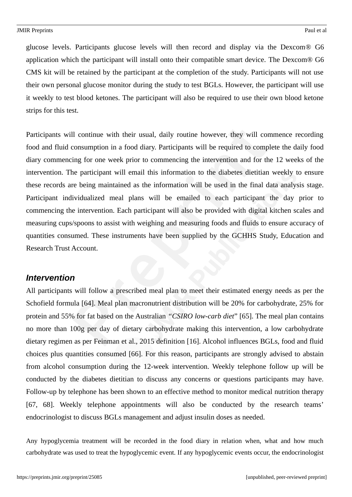glucose levels. Participants glucose levels will then record and display via the Dexcom® G6 application which the participant will install onto their compatible smart device. The Dexcom® G6 CMS kit will be retained by the participant at the completion of the study. Participants will not use their own personal glucose monitor during the study to test BGLs. However, the participant will use it weekly to test blood ketones. The participant will also be required to use their own blood ketone strips for this test.

Participants will continue with their usual, daily routine however, they will commence recording food and fluid consumption in a food diary. Participants will be required to complete the daily food diary commencing for one week prior to commencing the intervention and for the 12 weeks of the intervention. The participant will email this information to the diabetes dietitian weekly to ensure these records are being maintained as the information will be used in the final data analysis stage. Participant individualized meal plans will be emailed to each participant the day prior to commencing the intervention. Each participant will also be provided with digital kitchen scales and measuring cups/spoons to assist with weighing and measuring foods and fluids to ensure accuracy of quantities consumed. These instruments have been supplied by the GCHHS Study, Education and Research Trust Account.

#### *Intervention*

All participants will follow a prescribed meal plan to meet their estimated energy needs as per the Schofield formula [64]. Meal plan macronutrient distribution will be 20% for carbohydrate, 25% for protein and 55% for fat based on the Australian *"CSIRO low-carb diet*" [65]. The meal plan contains no more than 100g per day of dietary carbohydrate making this intervention, a low carbohydrate dietary regimen as per Feinman et al., 2015 definition [16]. Alcohol influences BGLs, food and fluid choices plus quantities consumed [66]. For this reason, participants are strongly advised to abstain from alcohol consumption during the 12-week intervention. Weekly telephone follow up will be conducted by the diabetes dietitian to discuss any concerns or questions participants may have. Follow-up by telephone has been shown to an effective method to monitor medical nutrition therapy [67, 68]. Weekly telephone appointments will also be conducted by the research teams' endocrinologist to discuss BGLs management and adjust insulin doses as needed.

Any hypoglycemia treatment will be recorded in the food diary in relation when, what and how much carbohydrate was used to treat the hypoglycemic event. If any hypoglycemic events occur, the endocrinologist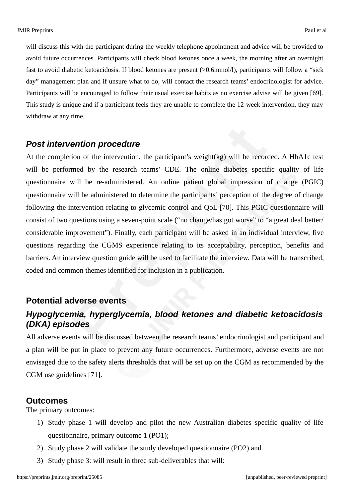will discuss this with the participant during the weekly telephone appointment and advice will be provided to avoid future occurrences. Participants will check blood ketones once a week, the morning after an overnight fast to avoid diabetic ketoacidosis. If blood ketones are present (>0.6mmol/l), participants will follow a "sick day" management plan and if unsure what to do, will contact the research teams' endocrinologist for advice. Participants will be encouraged to follow their usual exercise habits as no exercise advise will be given [69]. This study is unique and if a participant feels they are unable to complete the 12-week intervention, they may withdraw at any time.

### *Post intervention procedure*

At the completion of the intervention, the participant's weight(kg) will be recorded. A HbA1c test will be performed by the research teams' CDE. The online diabetes specific quality of life questionnaire will be re-administered. An online patient global impression of change (PGIC) questionnaire will be administered to determine the participants' perception of the degree of change following the intervention relating to glycemic control and QoL [70]. This PGIC questionnaire will consist of two questions using a seven-point scale ("no change/has got worse" to "a great deal better/ considerable improvement"). Finally, each participant will be asked in an individual interview, five questions regarding the CGMS experience relating to its acceptability, perception, benefits and barriers. An interview question guide will be used to facilitate the interview. Data will be transcribed, coded and common themes identified for inclusion in a publication.

### **Potential adverse events**

### *Hypoglycemia, hyperglycemia, blood ketones and diabetic ketoacidosis (DKA) episodes*

All adverse events will be discussed between the research teams' endocrinologist and participant and a plan will be put in place to prevent any future occurrences. Furthermore, adverse events are not envisaged due to the safety alerts thresholds that will be set up on the CGM as recommended by the CGM use guidelines [71].

### **Outcomes**

The primary outcomes:

- 1) Study phase 1 will develop and pilot the new Australian diabetes specific quality of life questionnaire, primary outcome 1 (PO1);
- 2) Study phase 2 will validate the study developed questionnaire (PO2) and
- 3) Study phase 3: will result in three sub-deliverables that will: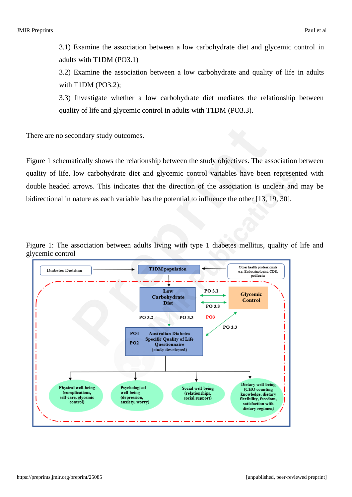3.1) Examine the association between a low carbohydrate diet and glycemic control in adults with T1DM (PO3.1)

3.2) Examine the association between a low carbohydrate and quality of life in adults with T1DM (PO3.2);

3.3) Investigate whether a low carbohydrate diet mediates the relationship between quality of life and glycemic control in adults with T1DM (PO3.3).

There are no secondary study outcomes.

Figure 1 schematically shows the relationship between the study objectives. The association between quality of life, low carbohydrate diet and glycemic control variables have been represented with double headed arrows. This indicates that the direction of the association is unclear and may be bidirectional in nature as each variable has the potential to influence the other [13, 19, 30].



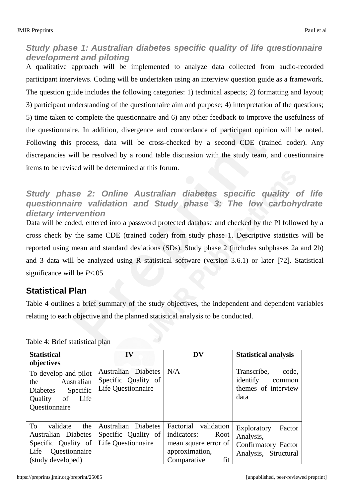### *Study phase 1: Australian diabetes specific quality of life questionnaire development and piloting*

A qualitative approach will be implemented to analyze data collected from audio-recorded participant interviews. Coding will be undertaken using an interview question guide as a framework. The question guide includes the following categories: 1) technical aspects; 2) formatting and layout; 3) participant understanding of the questionnaire aim and purpose; 4) interpretation of the questions; 5) time taken to complete the questionnaire and 6) any other feedback to improve the usefulness of the questionnaire. In addition, divergence and concordance of participant opinion will be noted. Following this process, data will be cross-checked by a second CDE (trained coder). Any discrepancies will be resolved by a round table discussion with the study team, and questionnaire items to be revised will be determined at this forum.

### *Study phase 2: Online Australian diabetes specific quality of life questionnaire validation and Study phase 3: The low carbohydrate dietary intervention*

Data will be coded, entered into a password protected database and checked by the PI followed by a cross check by the same CDE (trained coder) from study phase 1. Descriptive statistics will be reported using mean and standard deviations (SDs). Study phase 2 (includes subphases 2a and 2b) and 3 data will be analyzed using R statistical software (version 3.6.1) or later [72]. Statistical significance will be *P*<.05.

### **Statistical Plan**

Table 4 outlines a brief summary of the study objectives, the independent and dependent variables relating to each objective and the planned statistical analysis to be conducted.

| <b>Statistical</b><br>objectives                                                                                              | IV                                                                      | <b>DV</b>                                                                                                   | <b>Statistical analysis</b>                                                       |
|-------------------------------------------------------------------------------------------------------------------------------|-------------------------------------------------------------------------|-------------------------------------------------------------------------------------------------------------|-----------------------------------------------------------------------------------|
| To develop and pilot<br>Australian<br>the<br>Specific<br><b>Diabetes</b><br>of<br>Life<br>Quality<br>Questionnaire            | Australian Diabetes<br>Specific Quality of<br><b>Life Questionnaire</b> | N/A                                                                                                         | Transcribe,<br>code,<br>identify<br>common<br>themes of interview<br>data         |
| T <sub>0</sub><br>validate<br>the<br>Australian Diabetes<br>Specific Quality of<br>Life<br>Questionnaire<br>(study developed) | Australian Diabetes<br>Specific Quality of<br><b>Life Questionnaire</b> | Factorial validation<br>indicators:<br>Root<br>mean square error of<br>approximation,<br>fit<br>Comparative | Exploratory<br>Factor<br>Analysis,<br>Confirmatory Factor<br>Analysis, Structural |

Table 4: Brief statistical plan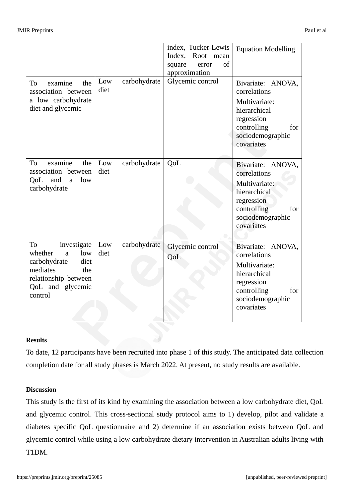|                                                                                                                                            |                             | index, Tucker-Lewis<br>Index, Root mean<br>of<br>square<br>error<br>approximation | <b>Equation Modelling</b>                                                                                                                |
|--------------------------------------------------------------------------------------------------------------------------------------------|-----------------------------|-----------------------------------------------------------------------------------|------------------------------------------------------------------------------------------------------------------------------------------|
| To<br>examine<br>the<br>association between<br>a low carbohydrate<br>diet and glycemic                                                     | carbohydrate<br>Low<br>diet | Glycemic control                                                                  | Bivariate: ANOVA,<br>correlations<br>Multivariate:<br>hierarchical<br>regression<br>controlling<br>for<br>sociodemographic<br>covariates |
| examine<br>To<br>the<br>association between<br>low<br>QoL and<br>$\mathsf{a}$<br>carbohydrate                                              | carbohydrate<br>Low<br>diet | QoL                                                                               | Bivariate: ANOVA,<br>correlations<br>Multivariate:<br>hierarchical<br>regression<br>controlling<br>for<br>sociodemographic<br>covariates |
| To<br>investigate<br>whether<br>low<br>a<br>diet<br>carbohydrate<br>mediates<br>the<br>relationship between<br>QoL and glycemic<br>control | carbohydrate<br>Low<br>diet | Glycemic control<br>QoL                                                           | Bivariate: ANOVA,<br>correlations<br>Multivariate:<br>hierarchical<br>regression<br>controlling<br>for<br>sociodemographic<br>covariates |

#### **Results**

To date, 12 participants have been recruited into phase 1 of this study. The anticipated data collection completion date for all study phases is March 2022. At present, no study results are available.

#### **Discussion**

This study is the first of its kind by examining the association between a low carbohydrate diet, QoL and glycemic control. This cross-sectional study protocol aims to 1) develop, pilot and validate a diabetes specific QoL questionnaire and 2) determine if an association exists between QoL and glycemic control while using a low carbohydrate dietary intervention in Australian adults living with T1DM.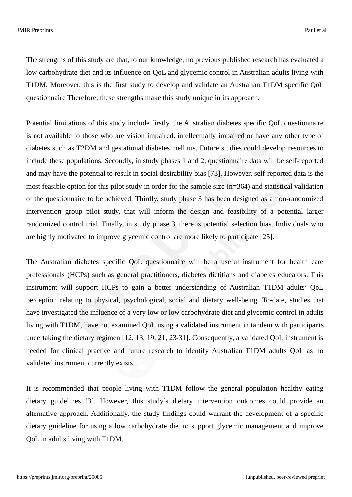The strengths of this study are that, to our knowledge, no previous published research has evaluated a low carbohydrate diet and its influence on QoL and glycemic control in Australian adults living with T1DM. Moreover, this is the first study to develop and validate an Australian T1DM specific QoL questionnaire Therefore, these strengths make this study unique in its approach.

Potential limitations of this study include firstly, the Australian diabetes specific QoL questionnaire is not available to those who are vision impaired, intellectually impaired or have any other type of diabetes such as T2DM and gestational diabetes mellitus. Future studies could develop resources to include these populations. Secondly, in study phases 1 and 2, questionnaire data will be self-reported and may have the potential to result in social desirability bias [73]. However, self-reported data is the most feasible option for this pilot study in order for the sample size (n=364) and statistical validation of the questionnaire to be achieved. Thirdly, study phase 3 has been designed as a non-randomized intervention group pilot study, that will inform the design and feasibility of a potential larger randomized control trial. Finally, in study phase 3, there is potential selection bias. Individuals who are highly motivated to improve glycemic control are more likely to participate [25].

The Australian diabetes specific QoL questionnaire will be a useful instrument for health care professionals (HCPs) such as general practitioners, diabetes dietitians and diabetes educators. This instrument will support HCPs to gain a better understanding of Australian T1DM adults' QoL perception relating to physical, psychological, social and dietary well-being. To-date, studies that have investigated the influence of a very low or low carbohydrate diet and glycemic control in adults living with T1DM, have not examined QoL using a validated instrument in tandem with participants undertaking the dietary regimen [12, 13, 19, 21, 23-31]. Consequently, a validated QoL instrument is needed for clinical practice and future research to identify Australian T1DM adults QoL as no validated instrument currently exists.

It is recommended that people living with T1DM follow the general population healthy eating dietary guidelines [3]. However, this study's dietary intervention outcomes could provide an alternative approach. Additionally, the study findings could warrant the development of a specific dietary guideline for using a low carbohydrate diet to support glycemic management and improve QoL in adults living with T1DM.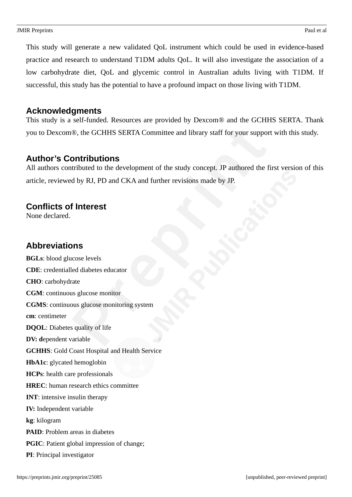This study will generate a new validated QoL instrument which could be used in evidence-based practice and research to understand T1DM adults QoL. It will also investigate the association of a low carbohydrate diet, QoL and glycemic control in Australian adults living with T1DM. If successful, this study has the potential to have a profound impact on those living with T1DM.

### **Acknowledgments**

This study is a self-funded. Resources are provided by Dexcom® and the GCHHS SERTA. Thank you to Dexcom®, the GCHHS SERTA Committee and library staff for your support with this study.

### **Author's Contributions**

All authors contributed to the development of the study concept. JP authored the first version of this article, reviewed by RJ, PD and CKA and further revisions made by JP.

### **Conflicts of Interest**

None declared.

### **Abbreviations**

**BGLs**: blood glucose levels **CDE**: credentialled diabetes educator **CHO**: carbohydrate **CGM**: continuous glucose monitor **CGMS**: continuous glucose monitoring system **cm**: centimeter **DQOL**: Diabetes quality of life **DV: d**ependent variable **GCHHS**: Gold Coast Hospital and Health Service **HbA1c**: glycated hemoglobin **HCPs**: health care professionals **HREC**: human research ethics committee **INT**: intensive insulin therapy **IV:** Independent variable **kg**: kilogram **PAID**: Problem areas in diabetes **PGIC**: Patient global impression of change; **PI**: Principal investigator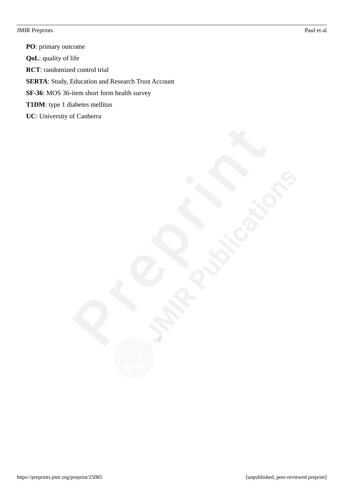**PO**: primary outcome **QoL**: quality of life **RCT**: randomized control trial **SERTA:** Study, Education and Research Trust Account **SF-36**: MOS 36-item short form health survey **T1DM**: type 1 diabetes mellitus **UC**: University of Canberra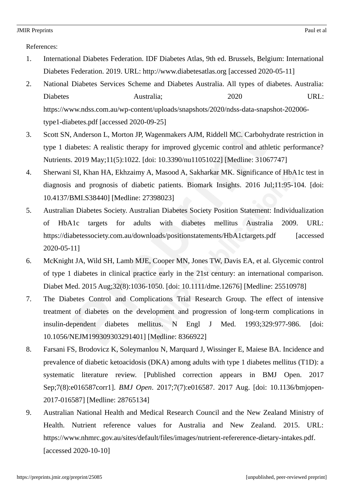References:

- 1. International Diabetes Federation. IDF Diabetes Atlas, 9th ed. Brussels, Belgium: International Diabetes Federation. 2019. URL: http://www.diabetesatlas.org [accessed 2020-05-11]
- 2. National Diabetes Services Scheme and Diabetes Australia. All types of diabetes. Australia: Diabetes Australia; 2020 URL: https://www.ndss.com.au/wp-content/uploads/snapshots/2020/ndss-data-snapshot-202006 type1-diabetes.pdf [accessed 2020-09-25]
- 3. Scott SN, Anderson L, Morton JP, Wagenmakers AJM, Riddell MC. Carbohydrate restriction in type 1 diabetes: A realistic therapy for improved glycemic control and athletic performance? Nutrients. 2019 May;11(5):1022. [doi: 10.3390/nu11051022] [Medline: 31067747]
- 4. Sherwani SI, Khan HA, Ekhzaimy A, Masood A, Sakharkar MK. Significance of HbA1c test in diagnosis and prognosis of diabetic patients. Biomark Insights. 2016 Jul;11:95-104. [doi: 10.4137/BMI.S38440] [Medline: 27398023]
- 5. Australian Diabetes Society. Australian Diabetes Society Position Statement: Individualization of HbA1c targets for adults with diabetes mellitus Australia 2009. URL: https://diabetessociety.com.au/downloads/positionstatements/HbA1ctargets.pdf [accessed] 2020-05-11]
- 6. McKnight JA, Wild SH, Lamb MJE, Cooper MN, Jones TW, Davis EA, et al. Glycemic control of type 1 diabetes in clinical practice early in the 21st century: an international comparison. Diabet Med. 2015 Aug;32(8):1036-1050. [doi: 10.1111/dme.12676] [Medline: 25510978]
- 7. The Diabetes Control and Complications Trial Research Group. The effect of intensive treatment of diabetes on the development and progression of long-term complications in insulin-dependent diabetes mellitus. N Engl J Med. 1993;329:977-986. [doi: 10.1056/NEJM199309303291401] [Medline: 8366922]
- 8. Farsani FS, Brodovicz K, Soleymanlou N, Marquard J, Wissinger E, Maiese BA. Incidence and prevalence of diabetic ketoacidosis (DKA) among adults with type 1 diabetes mellitus (T1D): a systematic literature review. [Published correction appears in BMJ Open. 2017 Sep;7(8):e016587corr1]. *BMJ Open*. 2017;7(7):e016587. 2017 Aug. [doi: 10.1136/bmjopen-2017-016587] [Medline: 28765134]
- 9. Australian National Health and Medical Research Council and the New Zealand Ministry of Health. Nutrient reference values for Australia and New Zealand. 2015. URL: https://www.nhmrc.gov.au/sites/default/files/images/nutrient-refererence-dietary-intakes.pdf. [accessed 2020-10-10]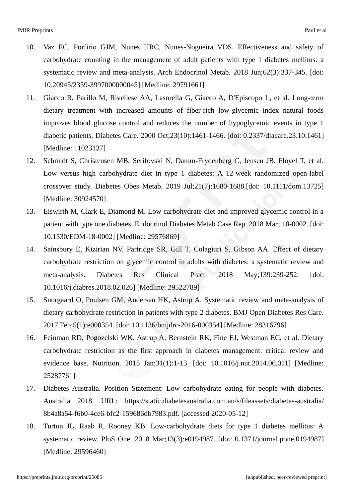- 10. Vaz EC, Porfirio GJM, Nunes HRC, Nunes-Nogueira VDS. Effectiveness and safety of carbohydrate counting in the management of adult patients with type 1 diabetes mellitus: a systematic review and meta-analysis. Arch Endocrinol Metab. 2018 Jun;62(3):337-345. [doi: 10.20945/2359-3997000000045] [Medline: 29791661]
- 11. Giacco R, Parillo M, Rivellese AA, Lasorella G, Giacco A, D'Episcopo L, et al. Long-term dietary treatment with increased amounts of fiber-rich low-glycemic index natural foods improves blood glucose control and reduces the number of hypoglycemic events in type 1 diabetic patients. Diabetes Care. 2000 Oct;23(10):1461-1466. [doi: 0.2337/diacare.23.10.1461] [Medline: 11023137]
- 12. Schmidt S, Christensen MB, Serifovski N, Damm-Frydenberg C, Jensen JB, Floyel T, et al. Low versus high carbohydrate diet in type 1 diabetes: A 12-week randomized open-label crossover study. Diabetes Obes Metab. 2019 Jul;21(7):1680-1688.[doi: 10.1111/dom.13725] [Medline: 30924570]
- 13. Eiswirth M, Clark E, Diamond M. Low carbohydrate diet and improved glycemic control in a patient with type one diabetes. Endocrinol Diabetes Metab Case Rep. 2018 Mar; 18-0002. [doi: 10.1530/EDM-18-0002] [Medline: 29576869]
- 14. Sainsbury E, Kizirian NV, Partridge SR, Gill T, Colagiuri S, Gibson AA. Effect of dietary carbohydrate restriction on glycemic control in adults with diabetes: a systematic review and meta-analysis. Diabetes Res Clinical Pract. 2018 May;139:239-252. [doi: 10.1016/j.diabres.2018.02.026] [Medline: 29522789]
- 15. Snorgaard O, Poulsen GM, Andersen HK, Astrup A. Systematic review and meta-analysis of dietary carbohydrate restriction in patients with type 2 diabetes. BMJ Open Diabetes Res Care. 2017 Feb;5(1):e000354. [doi: 10.1136/bmjdrc-2016-000354] [Medline: 28316796]
- 16. Feinman RD, Pogozelski WK, Astrup A, Bernstein RK, Fine EJ, Westman EC, et al. Dietary carbohydrate restriction as the first approach in diabetes management: critical review and evidence base. Nutrition. 2015 Jan;31(1):1-13. [doi: 10.1016/j.nut.2014.06.011] [Medline: 25287761]
- 17. Diabetes Australia. Position Statement: Low carbohydrate eating for people with diabetes. Australia 2018. URL: https://static.diabetesaustralia.com.au/s/fileassets/diabetes-australia/ 8b4a8a54-f6b0-4ce6-bfc2-159686db7983.pdf. [accessed 2020-05-12]
- 18. Turton JL, Raab R, Rooney KB. Low-carbohydrate diets for type 1 diabetes mellitus: A systematic review. PloS One. 2018 Mar;13(3):e0194987. [doi: 0.1371/journal.pone.0194987] [Medline: 29596460]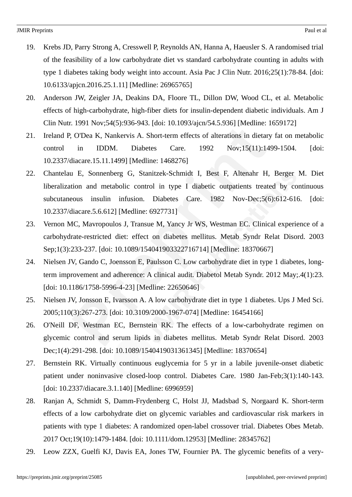- 19. Krebs JD, Parry Strong A, Cresswell P, Reynolds AN, Hanna A, Haeusler S. A randomised trial of the feasibility of a low carbohydrate diet vs standard carbohydrate counting in adults with type 1 diabetes taking body weight into account. Asia Pac J Clin Nutr. 2016;25(1):78-84. [doi: 10.6133/apjcn.2016.25.1.11] [Medline: 26965765]
- 20. Anderson JW, Zeigler JA, Deakins DA, Floore TL, Dillon DW, Wood CL, et al. Metabolic effects of high-carbohydrate, high-fiber diets for insulin-dependent diabetic individuals. Am J Clin Nutr. 1991 Nov;54(5):936-943. [doi: 10.1093/ajcn/54.5.936] [Medline: 1659172]
- 21. Ireland P, O'Dea K, Nankervis A. Short-term effects of alterations in dietary fat on metabolic control in IDDM. Diabetes Care. 1992 Nov;15(11):1499-1504. [doi: 10.2337/diacare.15.11.1499] [Medline: 1468276]
- 22. Chantelau E, Sonnenberg G, Stanitzek-Schmidt I, Best F, Altenahr H, Berger M. Diet liberalization and metabolic control in type I diabetic outpatients treated by continuous subcutaneous insulin infusion. Diabetes Care. 1982 Nov-Dec;5(6):612-616. [doi: 10.2337/diacare.5.6.612] [Medline: 6927731]
- 23. Vernon MC, Mavropoulos J, Transue M, Yancy Jr WS, Westman EC. Clinical experience of a carbohydrate-restricted diet: effect on diabetes mellitus. Metab Syndr Relat Disord. 2003 Sep;1(3):233-237. [doi: 10.1089/154041903322716714] [Medline: 18370667]
- 24. Nielsen JV, Gando C, Joensson E, Paulsson C. Low carbohydrate diet in type 1 diabetes, longterm improvement and adherence: A clinical audit. Diabetol Metab Syndr. 2012 May;.4(1):23. [doi: 10.1186/1758-5996-4-23] [Medline: 22650646]
- 25. Nielsen JV, Jonsson E, Ivarsson A. A low carbohydrate diet in type 1 diabetes. Ups J Med Sci. 2005;110(3):267-273. [doi: 10.3109/2000-1967-074] [Medline: 16454166]
- 26. O'Neill DF, Westman EC, Bernstein RK. The effects of a low-carbohydrate regimen on glycemic control and serum lipids in diabetes mellitus. Metab Syndr Relat Disord. 2003 Dec;1(4):291-298. [doi: 10.1089/1540419031361345] [Medline: 18370654]
- 27. Bernstein RK. Virtually continuous euglycemia for 5 yr in a labile juvenile-onset diabetic patient under noninvasive closed-loop control. Diabetes Care. 1980 Jan-Feb;3(1):140-143. [doi: 10.2337/diacare.3.1.140] [Medline: 6996959]
- 28. Ranjan A, Schmidt S, Damm-Frydenberg C, Holst JJ, Madsbad S, Norgaard K. Short-term effects of a low carbohydrate diet on glycemic variables and cardiovascular risk markers in patients with type 1 diabetes: A randomized open-label crossover trial. Diabetes Obes Metab. 2017 Oct;19(10):1479-1484. [doi: 10.1111/dom.12953] [Medline: 28345762]
- 29. Leow ZZX, Guelfi KJ, Davis EA, Jones TW, Fournier PA. The glycemic benefits of a very-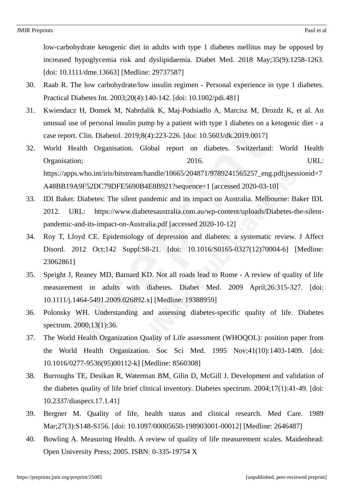low-carbohydrate ketogenic diet in adults with type 1 diabetes mellitus may be opposed by increased hypoglycemia risk and dyslipidaemia. Diabet Med. 2018 May;35(9):1258-1263. [doi: 10.1111/dme.13663] [Medline: 29737587]

- 30. Raab R. The low carbohydrate/low insulin regimen Personal experience in type 1 diabetes. Practical Diabetes Int. 2003;20(4):140-142. [doi: 10.1002/pdi.481]
- 31. Kwiendacz H, Domek M, Nabrdalik K, Maj-Podsiadlo A, Marcisz M, Drozdz K, et al. An unusual use of personal insulin pump by a patient with type 1 diabetes on a ketogenic diet - a case report. Clin. Diabetol. 2019;8(4):223-226. [doi: 10.5603/dk.2019.0017]
- 32. World Health Organisation. Global report on diabetes. Switzerland: World Health Organisation; 2016. URL: https://apps.who.int/iris/bitstream/handle/10665/204871/9789241565257\_eng.pdf;jsessionid=7 A48BB19A9F52DC79DFE5690B4E8B921?sequence=1 [accessed 2020-03-10]
- 33. IDI Baker. Diabetes: The silent pandemic and its impact on Australia. Melbourne: Baker IDI. 2012. URL: https://www.diabetesaustralia.com.au/wp-content/uploads/Diabetes-the-silentpandemic-and-its-impact-on-Australia.pdf [accessed 2020-10-12]
- 34. Roy T, Lloyd CE. Epidemiology of depression and diabetes: a systematic review. J Affect Disord. 2012 Oct;142 Suppl:S8-21. [doi: 10.1016/S0165-0327(12)70004-6] [Medline: 23062861]
- 35. Speight J, Reaney MD, Barnard KD. Not all roads lead to Rome A review of quality of life measurement in adults with diabetes. Diabet Med. 2009 April;26:315-327. [doi: 10.1111/j.1464-5491.2009.026892.x] [Medline: 19388959]
- 36. Polonsky WH. Understanding and assessing diabetes-specific quality of life. Diabetes spectrum. 2000;13(1):36.
- 37. The World Health Organization Quality of Life assessment (WHOQOL): position paper from the World Health Organization. Soc Sci Med. 1995 Nov;41(10):1403-1409. [doi: 10.1016/0277-9536(95)00112-k] [Medline: 8560308]
- 38. Burroughs TE, Desikan R, Waterman BM, Gilin D, McGill J. Development and validation of the diabetes quality of life brief clinical inventory. Diabetes spectrum. 2004;17(1):41-49. [doi: 10.2337/diaspect.17.1.41]
- 39. Bergner M. Quality of life, health status and clinical research. Med Care. 1989 Mar;27(3):S148-S156. [doi: 10.1097/00005650-198903001-00012] [Medline: 2646487]
- 40. Bowling A. Measuring Health. A review of quality of life measurement scales. Maidenhead: Open University Press; 2005. ISBN: 0-335-19754 X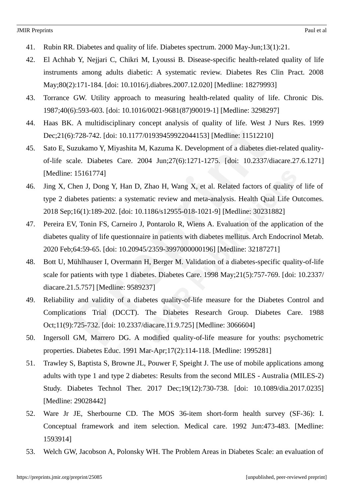- 41. Rubin RR. Diabetes and quality of life. Diabetes spectrum. 2000 May-Jun;13(1):21.
- 42. El Achhab Y, Nejjari C, Chikri M, Lyoussi B. Disease-specific health-related quality of life instruments among adults diabetic: A systematic review. Diabetes Res Clin Pract. 2008 May;80(2):171-184. [doi: 10.1016/j.diabres.2007.12.020] [Medline: 18279993]
- 43. Torrance GW. Utility approach to measuring health-related quality of life. Chronic Dis. 1987;40(6):593-603. [doi: 10.1016/0021-9681(87)90019-1] [Medline: 3298297]
- 44. Haas BK. A multidisciplinary concept analysis of quality of life. West J Nurs Res. 1999 Dec;21(6):728-742. [doi: 10.1177/01939459922044153] [Medline: 11512210]
- 45. Sato E, Suzukamo Y, Miyashita M, Kazuma K. Development of a diabetes diet-related qualityof-life scale. Diabetes Care. 2004 Jun;27(6):1271-1275. [doi: 10.2337/diacare.27.6.1271] [Medline: 15161774]
- 46. Jing X, Chen J, Dong Y, Han D, Zhao H, Wang X, et al. Related factors of quality of life of type 2 diabetes patients: a systematic review and meta-analysis. Health Qual Life Outcomes. 2018 Sep;16(1):189-202. [doi: 10.1186/s12955-018-1021-9] [Medline: 30231882]
- 47. Pereira EV, Tonin FS, Carneiro J, Pontarolo R, Wiens A. Evaluation of the application of the diabetes quality of life questionnaire in patients with diabetes mellitus. Arch Endocrinol Metab. 2020 Feb;64:59-65. [doi: 10.20945/2359-3997000000196] [Medline: 32187271]
- 48. Bott U, Mühlhauser I, Overmann H, Berger M. Validation of a diabetes-specific quality-of-life scale for patients with type 1 diabetes. Diabetes Care. 1998 May;21(5):757-769. [doi: 10.2337/ diacare.21.5.757] [Medline: 9589237]
- 49. Reliability and validity of a diabetes quality-of-life measure for the Diabetes Control and Complications Trial (DCCT). The Diabetes Research Group. Diabetes Care. 1988 Oct;11(9):725-732. [doi: 10.2337/diacare.11.9.725] [Medline: 3066604]
- 50. Ingersoll GM, Marrero DG. A modified quality-of-life measure for youths: psychometric properties. Diabetes Educ. 1991 Mar-Apr;17(2):114-118. [Medline: 1995281]
- 51. Trawley S, Baptista S, Browne JL, Pouwer F, Speight J. The use of mobile applications among adults with type 1 and type 2 diabetes: Results from the second MILES - Australia (MILES-2) Study. Diabetes Technol Ther. 2017 Dec;19(12):730-738. [doi: 10.1089/dia.2017.0235] [Medline: 29028442]
- 52. Ware Jr JE, Sherbourne CD. The MOS 36-item short-form health survey (SF-36): I. Conceptual framework and item selection. Medical care. 1992 Jun:473-483. [Medline: 1593914]
- 53. Welch GW, Jacobson A, Polonsky WH. The Problem Areas in Diabetes Scale: an evaluation of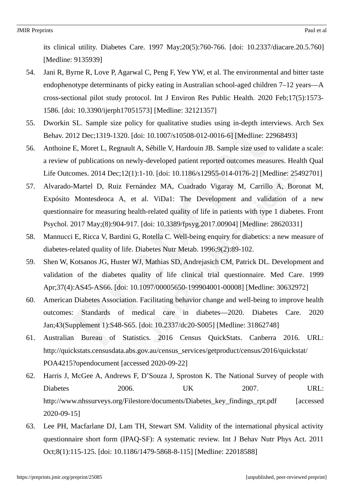its clinical utility. Diabetes Care. 1997 May;20(5):760-766. [doi: 10.2337/diacare.20.5.760] [Medline: 9135939]

- 54. Jani R, Byrne R, Love P, Agarwal C, Peng F, Yew YW, et al. The environmental and bitter taste endophenotype determinants of picky eating in Australian school-aged children 7–12 years—A cross-sectional pilot study protocol. Int J Environ Res Public Health. 2020 Feb;17(5):1573- 1586. [doi: 10.3390/ijerph17051573] [Medline: 32121357]
- 55. Dworkin SL. Sample size policy for qualitative studies using in-depth interviews. Arch Sex Behav. 2012 Dec;1319-1320. [doi: 10.1007/s10508-012-0016-6] [Medline: 22968493]
- 56. Anthoine E, Moret L, Regnault A, Sébille V, Hardouin JB. Sample size used to validate a scale: a review of publications on newly-developed patient reported outcomes measures. Health Qual Life Outcomes. 2014 Dec;12(1):1-10. [doi: 10.1186/s12955-014-0176-2] [Medline: 25492701]
- 57. Alvarado-Martel D, Ruiz Fernández MA, Cuadrado Vigaray M, Carrillo A, Boronat M, Expósito Montesdeoca A, et al. ViDa1: The Development and validation of a new questionnaire for measuring health-related quality of life in patients with type 1 diabetes. Front Psychol. 2017 May;(8):904-917. [doi: 10.3389/fpsyg.2017.00904] [Medline: 28620331]
- 58. Mannucci E, Ricca V, Bardini G, Rotella C. Well-being enquiry for diabetics: a new measure of diabetes-related quality of life. Diabetes Nutr Metab. 1996;9(2):89-102.
- 59. Shen W, Kotsanos JG, Huster WJ, Mathias SD, Andrejasich CM, Patrick DL. Development and validation of the diabetes quality of life clinical trial questionnaire. Med Care. 1999 Apr;37(4):AS45-AS66. [doi: 10.1097/00005650-199904001-00008] [Medline: 30632972]
- 60. American Diabetes Association. Facilitating behavior change and well-being to improve health outcomes: Standards of medical care in diabetes—2020. Diabetes Care. 2020 Jan;43(Supplement 1):S48-S65. [doi: 10.2337/dc20-S005] [Medline: 31862748]
- 61. Australian Bureau of Statistics. 2016 Census QuickStats. Canberra 2016. URL: http://quickstats.censusdata.abs.gov.au/census\_services/getproduct/census/2016/quickstat/ POA4215?opendocument [accessed 2020-09-22]
- 62. Harris J, McGee A, Andrews F, D'Souza J, Sproston K. The National Survey of people with Diabetes 2006. UK 2007. URL: http://www.nhssurveys.org/Filestore/documents/Diabetes\_key\_findings\_rpt.pdf [accessed 2020-09-15]
- 63. Lee PH, Macfarlane DJ, Lam TH, Stewart SM. Validity of the international physical activity questionnaire short form (IPAQ-SF): A systematic review. Int J Behav Nutr Phys Act. 2011 Oct;8(1):115-125. [doi: 10.1186/1479-5868-8-115] [Medline: 22018588]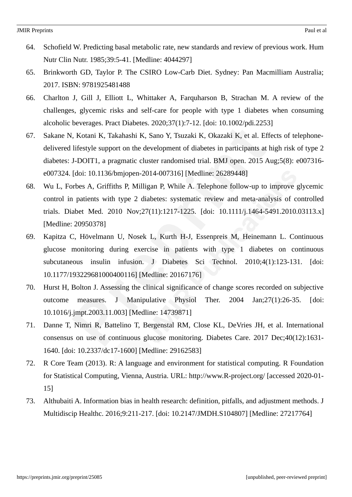- 64. Schofield W. Predicting basal metabolic rate, new standards and review of previous work. Hum Nutr Clin Nutr. 1985;39:5-41. [Medline: 4044297]
- 65. Brinkworth GD, Taylor P. The CSIRO Low-Carb Diet. Sydney: Pan Macmilliam Australia; 2017. ISBN: 9781925481488
- 66. Charlton J, Gill J, Elliott L, Whittaker A, Farquharson B, Strachan M. A review of the challenges, glycemic risks and self-care for people with type 1 diabetes when consuming alcoholic beverages. Pract Diabetes. 2020;37(1):7-12. [doi: 10.1002/pdi.2253]
- 67. Sakane N, Kotani K, Takahashi K, Sano Y, Tsuzaki K, Okazaki K, et al. Effects of telephonedelivered lifestyle support on the development of diabetes in participants at high risk of type 2 diabetes: J-DOIT1, a pragmatic cluster randomised trial. BMJ open. 2015 Aug;5(8): e007316 e007324. [doi: 10.1136/bmjopen-2014-007316] [Medline: 26289448]
- 68. Wu L, Forbes A, Griffiths P, Milligan P, While A. Telephone follow-up to improve glycemic control in patients with type 2 diabetes: systematic review and meta-analysis of controlled trials. Diabet Med. 2010 Nov;27(11):1217-1225. [doi: 10.1111/j.1464-5491.2010.03113.x] [Medline: 20950378]
- 69. Kapitza C, Hövelmann U, Nosek L, Kurth H-J, Essenpreis M, Heinemann L. Continuous glucose monitoring during exercise in patients with type 1 diabetes on continuous subcutaneous insulin infusion. J Diabetes Sci Technol. 2010;4(1):123-131. [doi: 10.1177/193229681000400116] [Medline: 20167176]
- 70. Hurst H, Bolton J. Assessing the clinical significance of change scores recorded on subjective outcome measures. J Manipulative Physiol Ther. 2004 Jan;27(1):26-35. [doi: 10.1016/j.jmpt.2003.11.003] [Medline: 14739871]
- 71. Danne T, Nimri R, Battelino T, Bergenstal RM, Close KL, DeVries JH, et al. International consensus on use of continuous glucose monitoring. Diabetes Care. 2017 Dec;40(12):1631- 1640. [doi: 10.2337/dc17-1600] [Medline: 29162583]
- 72. R Core Team (2013). R: A language and environment for statistical computing. R Foundation for Statistical Computing, Vienna, Austria. URL: http://www.R-project.org/ [accessed 2020-01- 15]
- 73. Althubaiti A. Information bias in health research: definition, pitfalls, and adjustment methods. J Multidiscip Healthc. 2016;9:211-217. [doi: 10.2147/JMDH.S104807] [Medline: 27217764]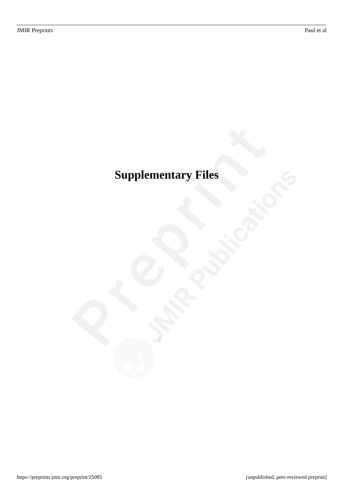# <span id="page-34-0"></span>**Supplementary Files**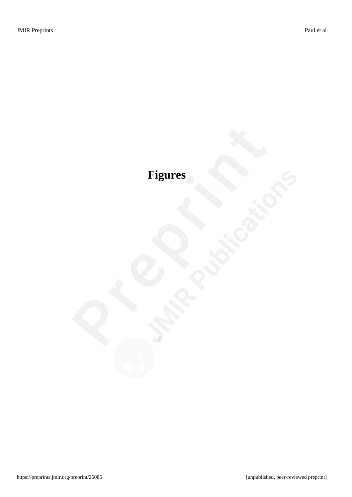# <span id="page-35-0"></span>**Figures**